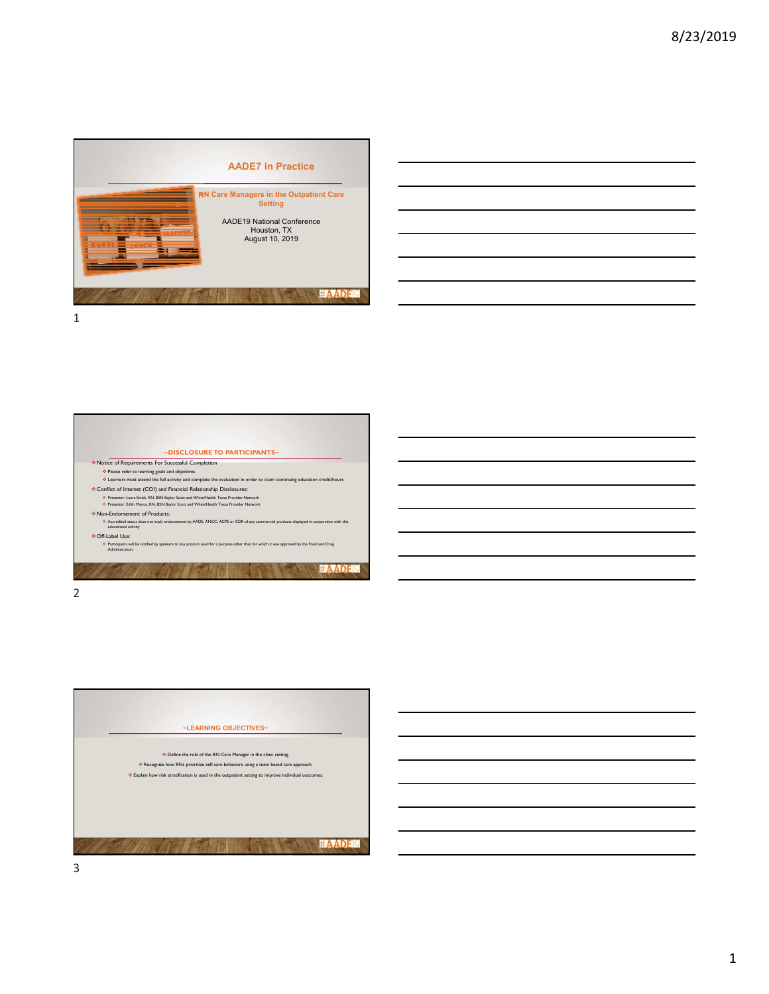





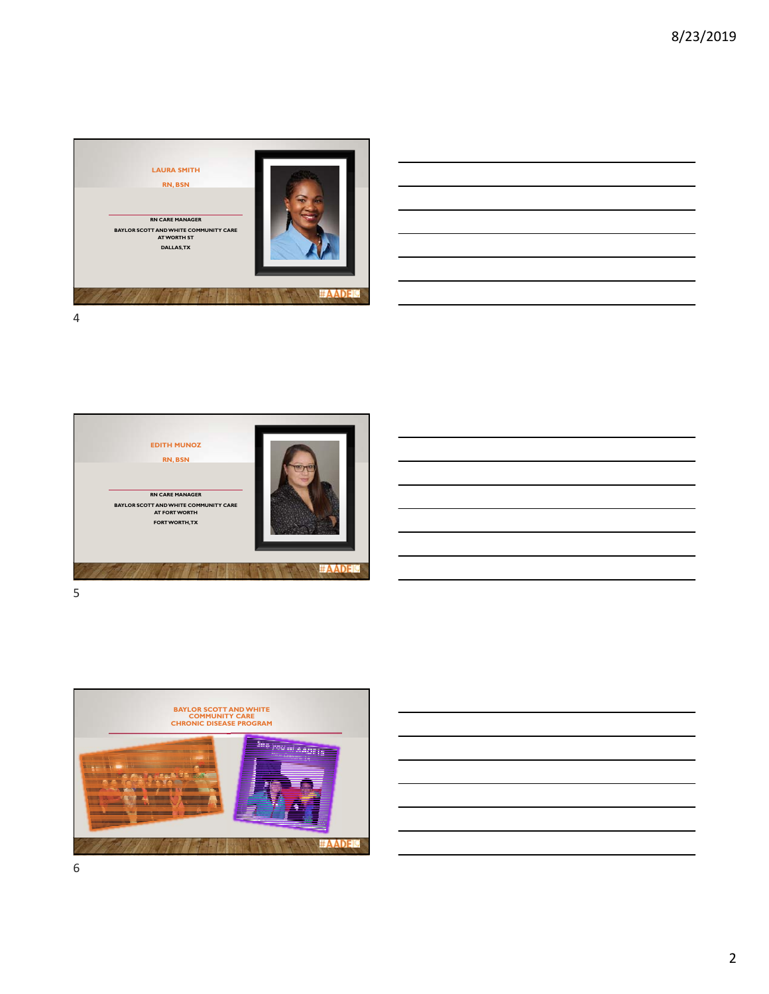





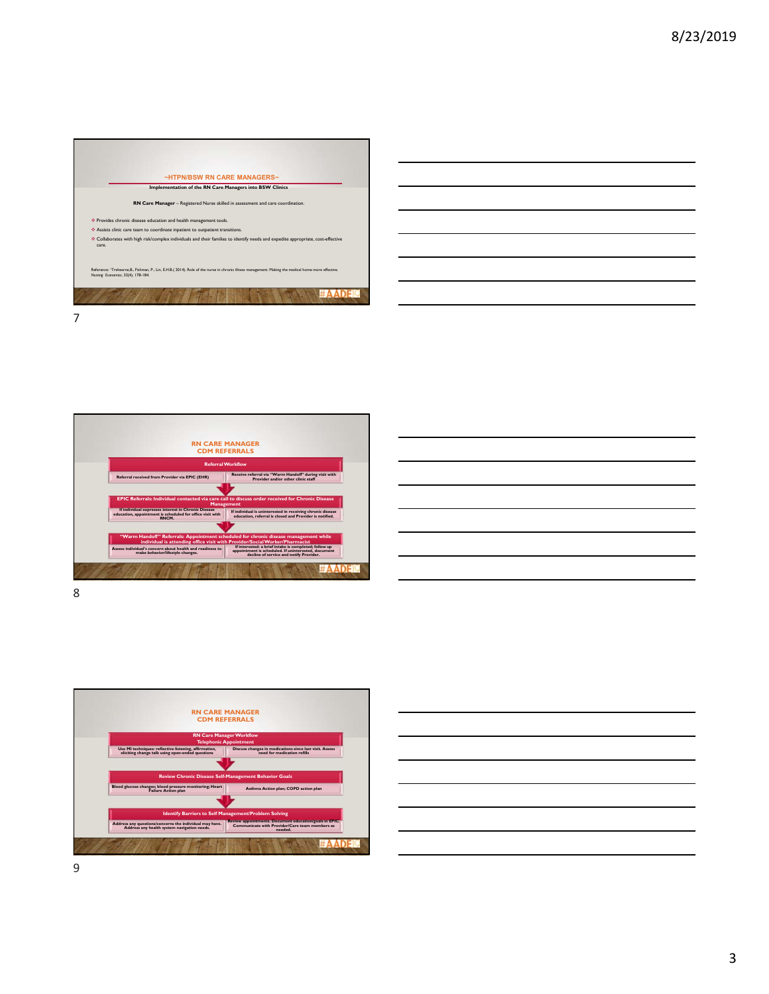







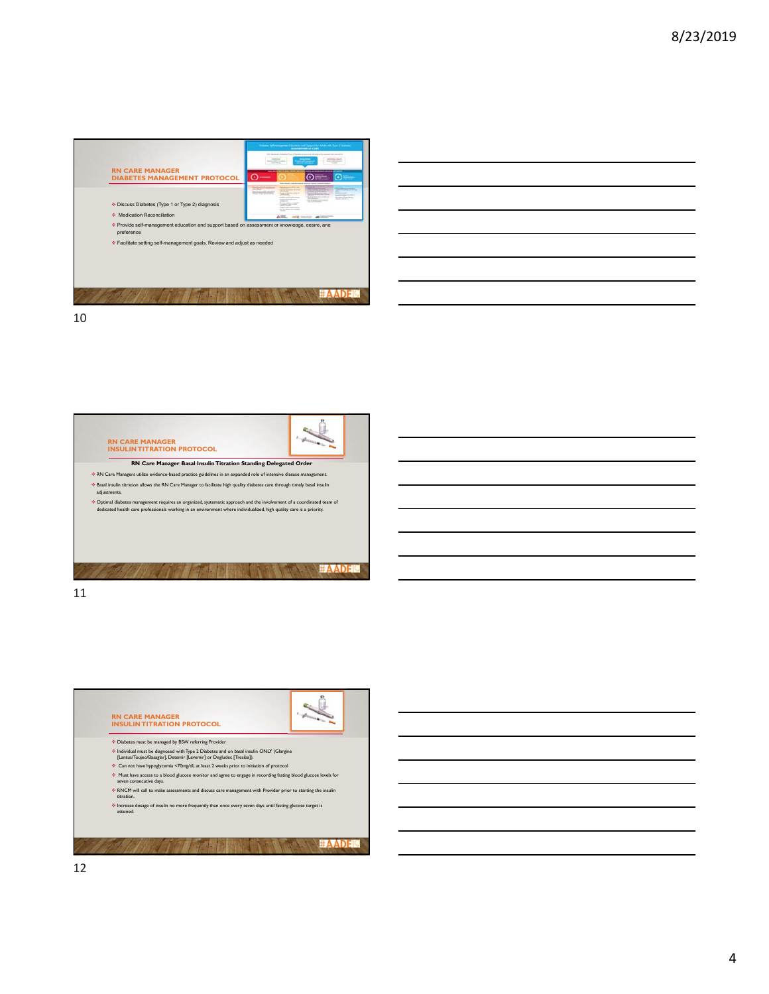



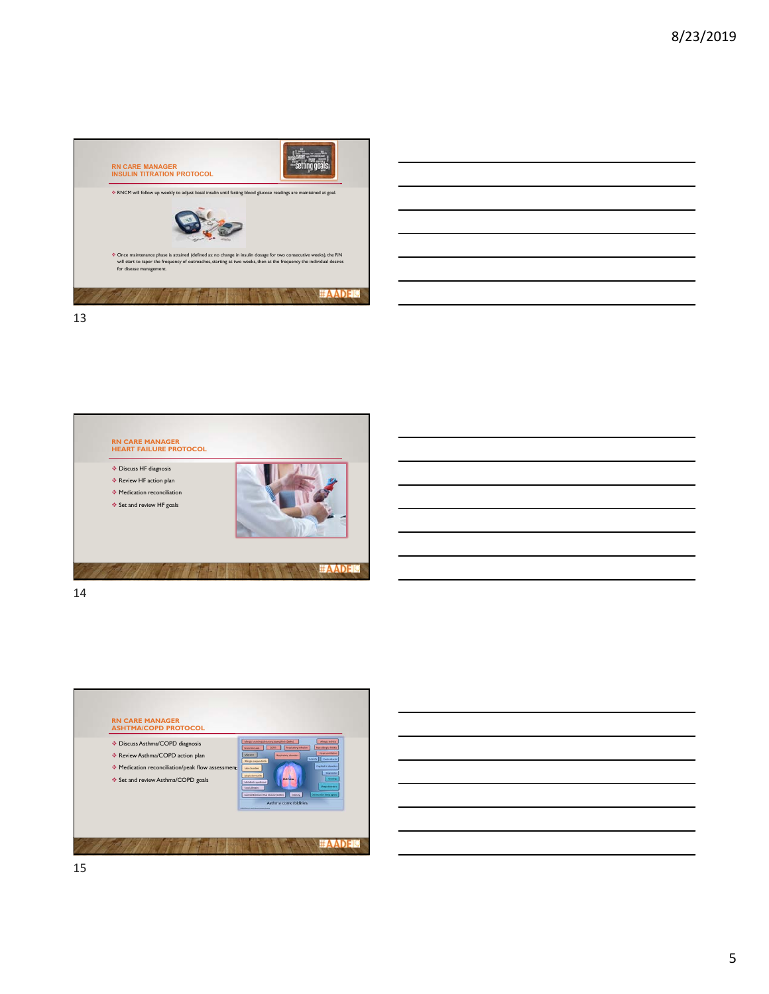





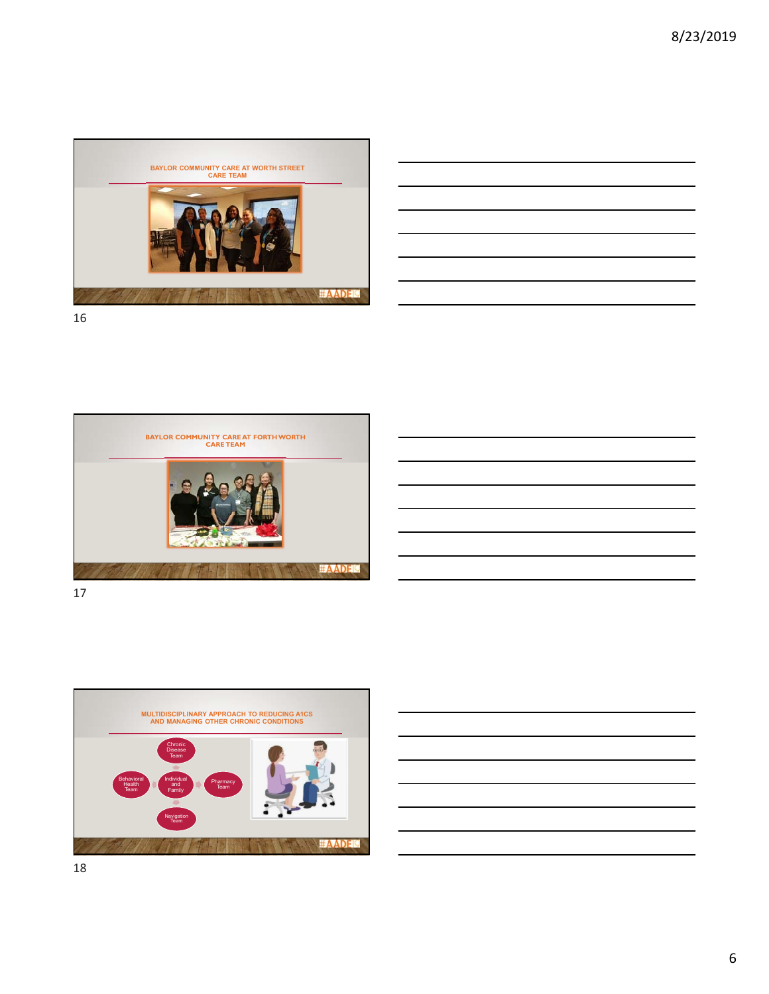



16



17



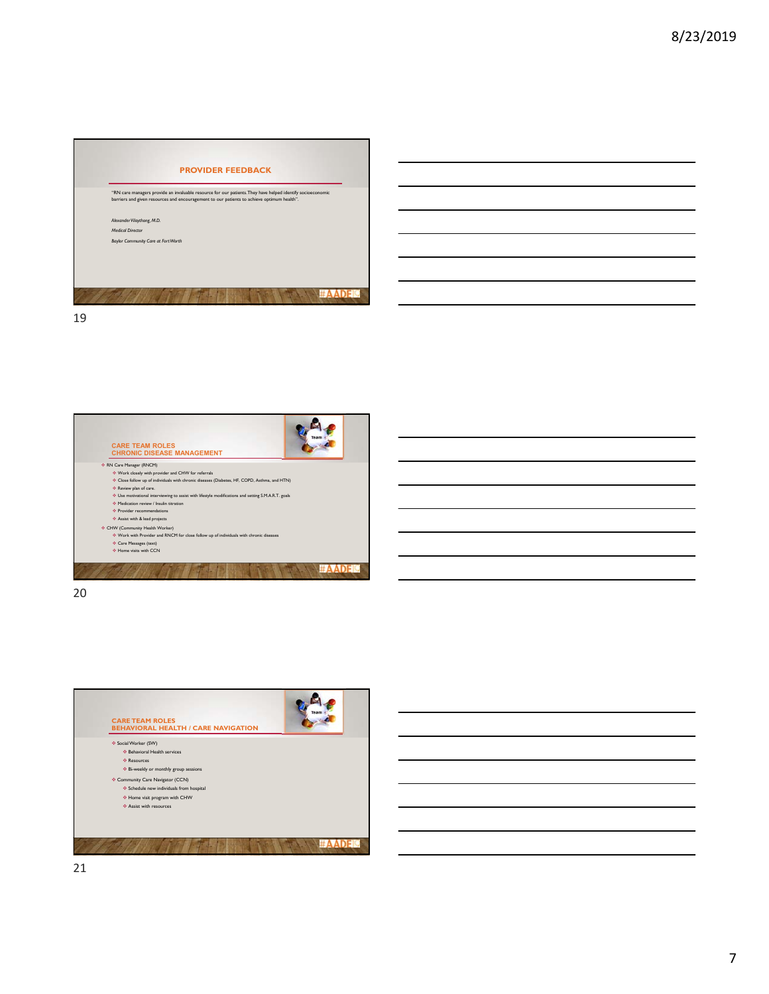



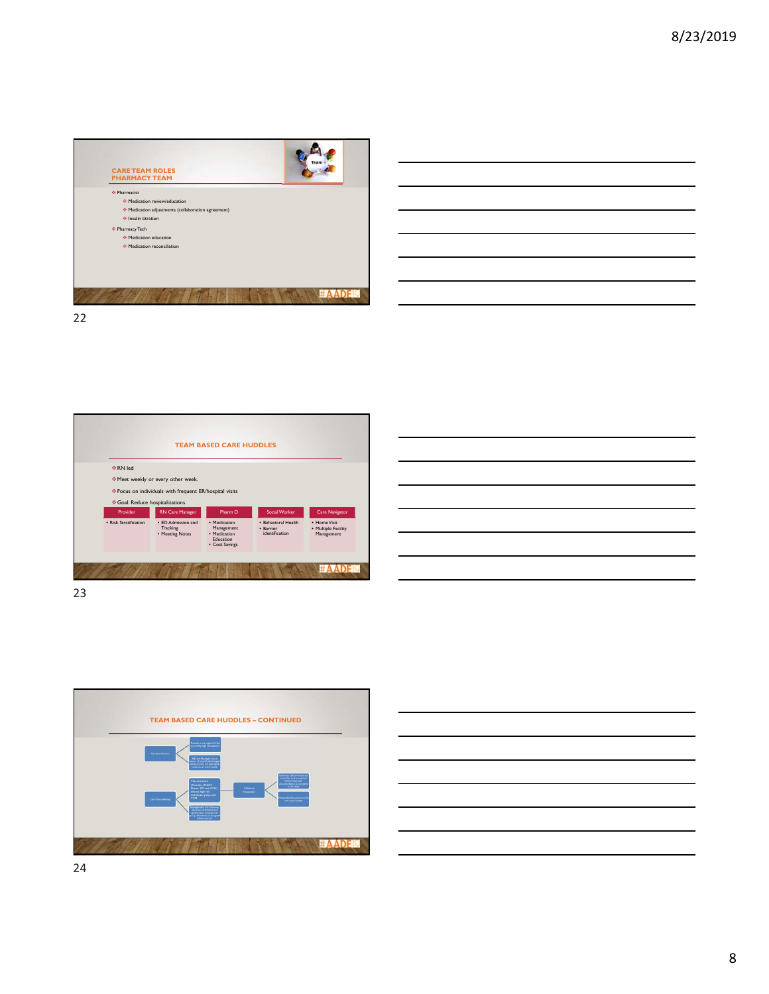

**TEAM BASED CARE HUDDLES**  $\div$ RN led Meet weekly or every other week.  $\hat{\div}$  Focus on individuals with frequent ER/hospital visits Goal: Reduce hospitalizations RN Care Manager Pharm D Social Worker Care N **Provider** • Barrier eral Health • Risk Stratification • ED Admission and Tracking • Meeting Notes • Medication Management • Medication Education • Cost Savings • Home Visit • Multiple Facility Management identification **#AADEL SANTA PR** 







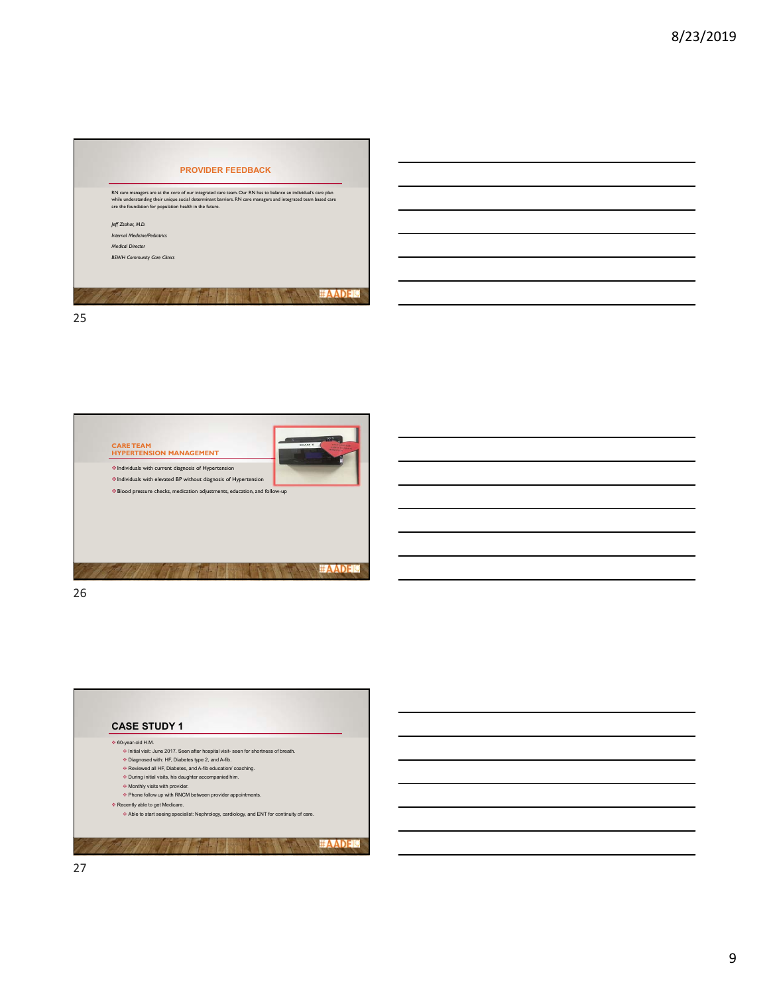



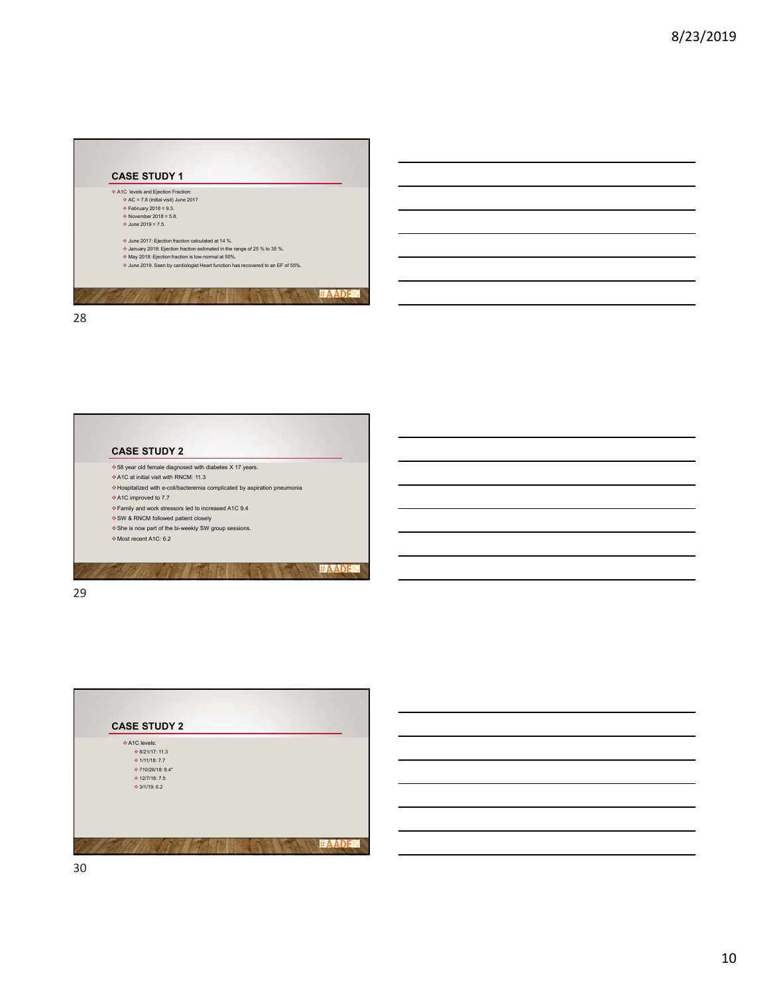



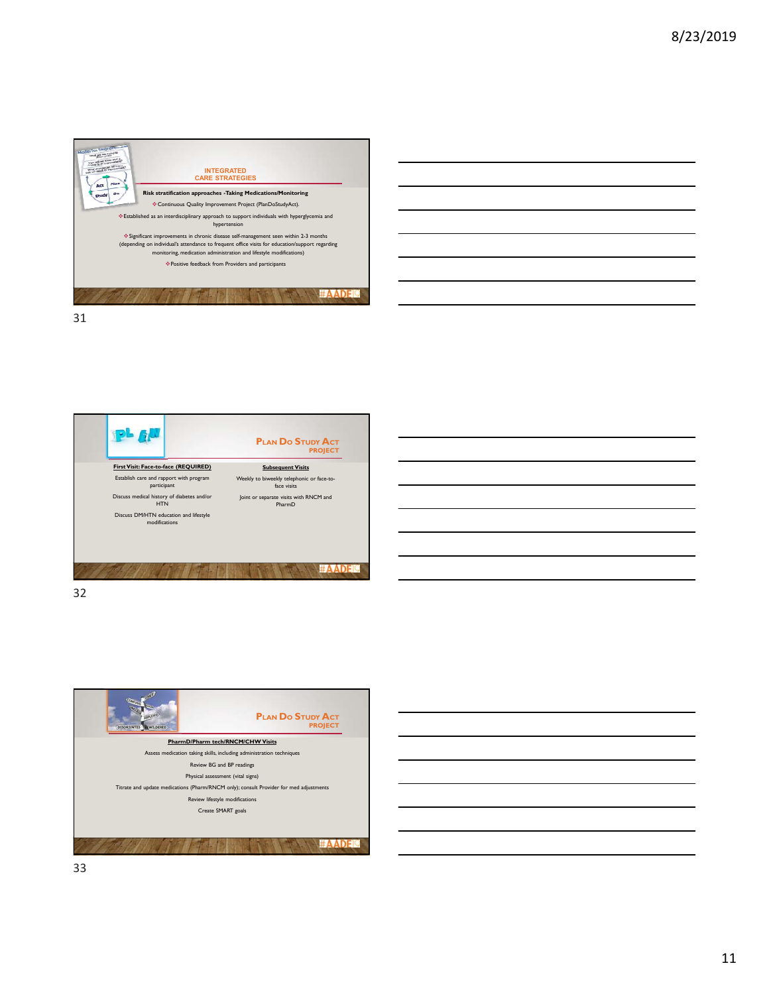









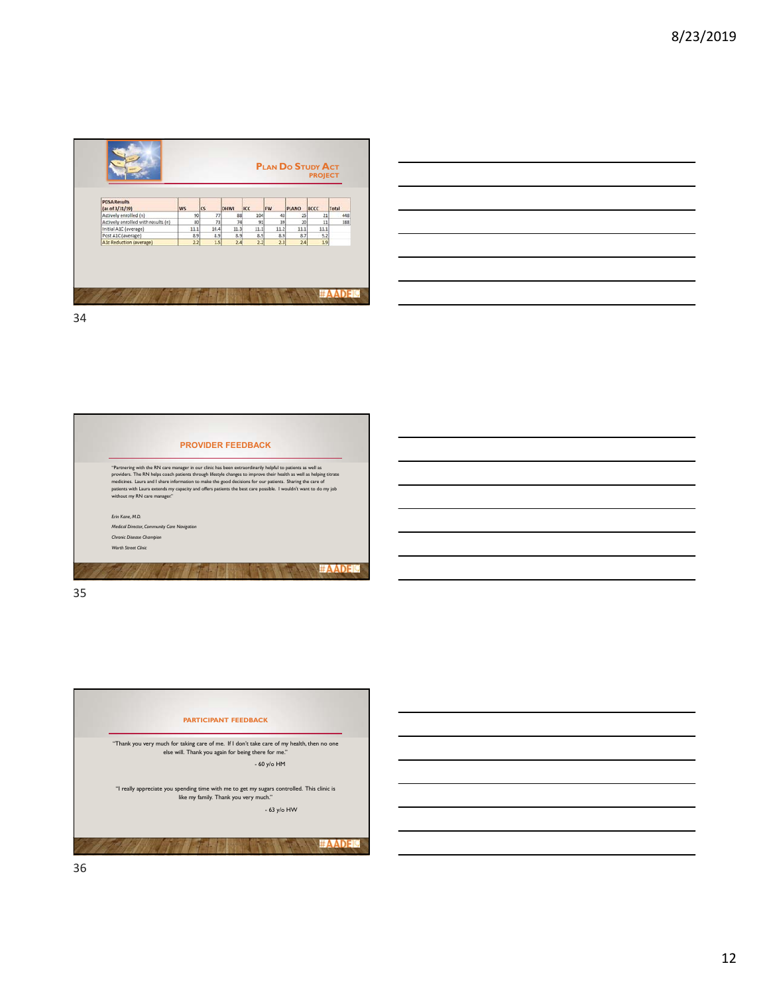





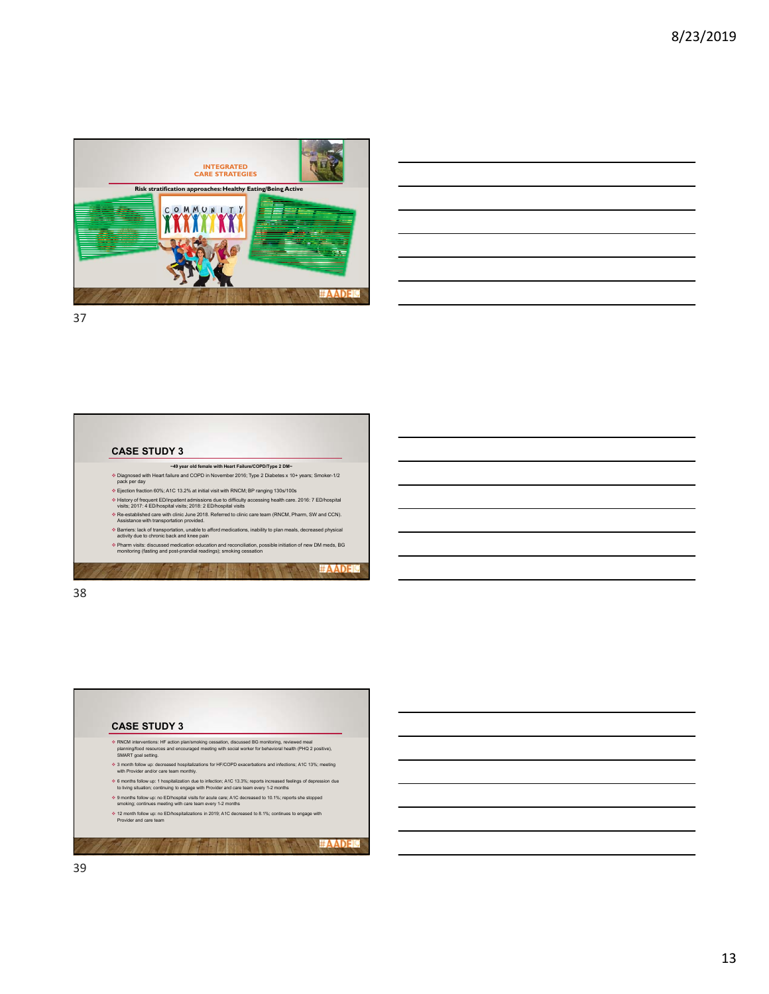

|                                                                                                                                                                                                                                      |  |  | <b>Service Contract</b> |
|--------------------------------------------------------------------------------------------------------------------------------------------------------------------------------------------------------------------------------------|--|--|-------------------------|
|                                                                                                                                                                                                                                      |  |  |                         |
| <u>successive and the contract of the contract of the contract of the contract of the contract of the contract of the contract of the contract of the contract of the contract of the contract of the contract of the contract o</u> |  |  |                         |
|                                                                                                                                                                                                                                      |  |  |                         |
| <u> Andreas Andreas Andreas Andreas Andreas Andreas Andreas Andreas Andreas Andreas Andreas Andreas Andreas Andr</u>                                                                                                                 |  |  |                         |
|                                                                                                                                                                                                                                      |  |  |                         |
| <u> 1989 - Johann Stoff, amerikansk politiker (d. 1989)</u>                                                                                                                                                                          |  |  |                         |
|                                                                                                                                                                                                                                      |  |  |                         |



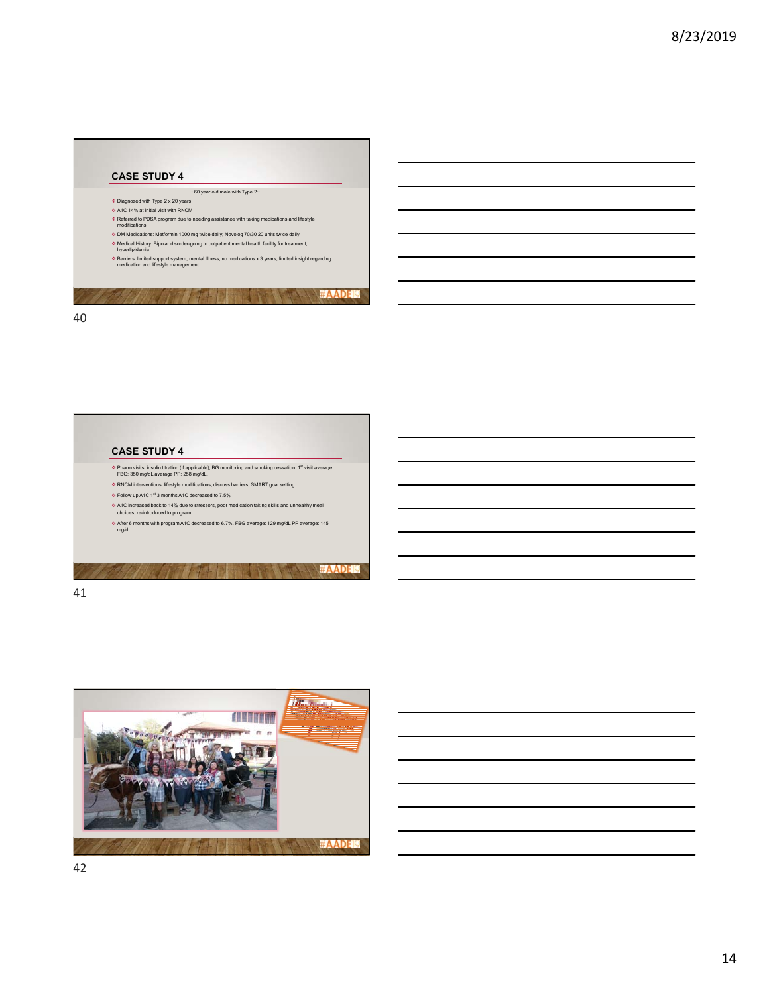

## **CASE STUDY 4**

- Pharm visits: insulin titration (if applicable), BG monitoring and smoking cessation. 1st visit average FBG: 350 mg/dL average PP: 258 mg/dL.
- RNCM interventions: lifestyle modifications, discuss barriers, SMART goal setting.
- Follow up A1C 1st 3 months A1C decreased to 7.5%
- A1C increased back to 14% due to stressors, poor medication taking skills and unhealthy meal choices; re-introduced to program.
- After 6 months with program A1C decreased to 6.7%. FBG average: 129 mg/dL PP average: 145 mg/dL

**#AADEI**